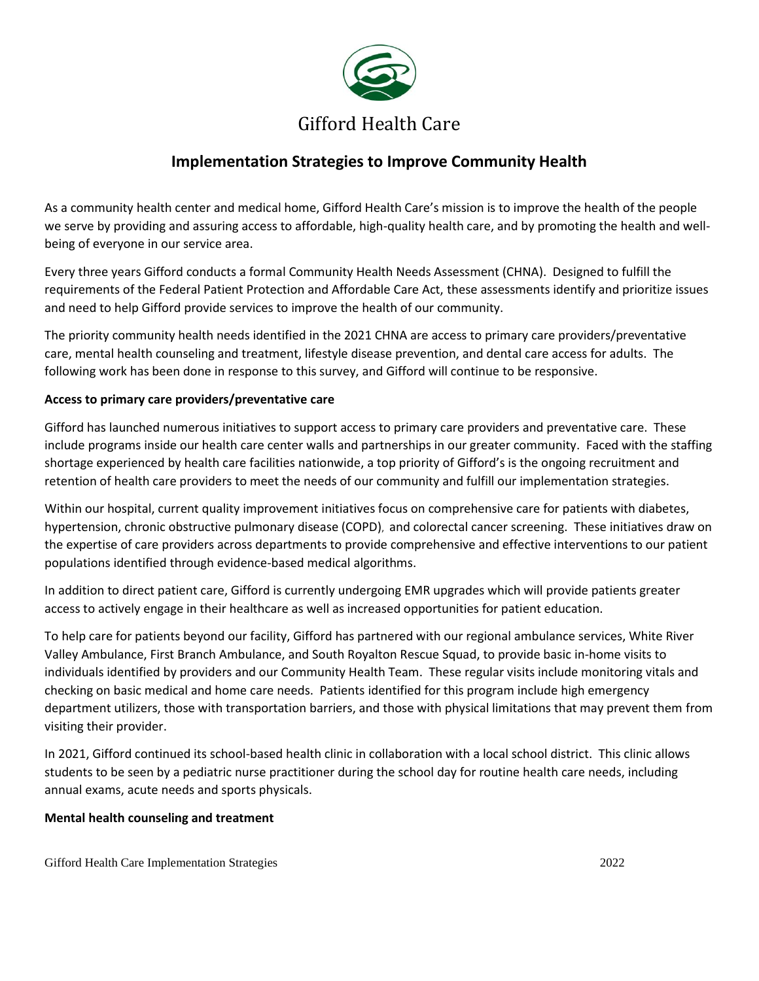

# **Implementation Strategies to Improve Community Health**

As a community health center and medical home, Gifford Health Care's mission is to improve the health of the people we serve by providing and assuring access to affordable, high-quality health care, and by promoting the health and wellbeing of everyone in our service area.

Every three years Gifford conducts a formal Community Health Needs Assessment (CHNA). Designed to fulfill the requirements of the Federal Patient Protection and Affordable Care Act, these assessments identify and prioritize issues and need to help Gifford provide services to improve the health of our community.

The priority community health needs identified in the 2021 CHNA are access to primary care providers/preventative care, mental health counseling and treatment, lifestyle disease prevention, and dental care access for adults. The following work has been done in response to this survey, and Gifford will continue to be responsive.

## **Access to primary care providers/preventative care**

Gifford has launched numerous initiatives to support access to primary care providers and preventative care. These include programs inside our health care center walls and partnerships in our greater community. Faced with the staffing shortage experienced by health care facilities nationwide, a top priority of Gifford's is the ongoing recruitment and retention of health care providers to meet the needs of our community and fulfill our implementation strategies.

Within our hospital, current quality improvement initiatives focus on comprehensive care for patients with diabetes, hypertension, chronic obstructive pulmonary disease (COPD), and colorectal cancer screening. These initiatives draw on the expertise of care providers across departments to provide comprehensive and effective interventions to our patient populations identified through evidence-based medical algorithms.

In addition to direct patient care, Gifford is currently undergoing EMR upgrades which will provide patients greater access to actively engage in their healthcare as well as increased opportunities for patient education.

To help care for patients beyond our facility, Gifford has partnered with our regional ambulance services, White River Valley Ambulance, First Branch Ambulance, and South Royalton Rescue Squad, to provide basic in-home visits to individuals identified by providers and our Community Health Team. These regular visits include monitoring vitals and checking on basic medical and home care needs. Patients identified for this program include high emergency department utilizers, those with transportation barriers, and those with physical limitations that may prevent them from visiting their provider.

In 2021, Gifford continued its school-based health clinic in collaboration with a local school district. This clinic allows students to be seen by a pediatric nurse practitioner during the school day for routine health care needs, including annual exams, acute needs and sports physicals.

### **Mental health counseling and treatment**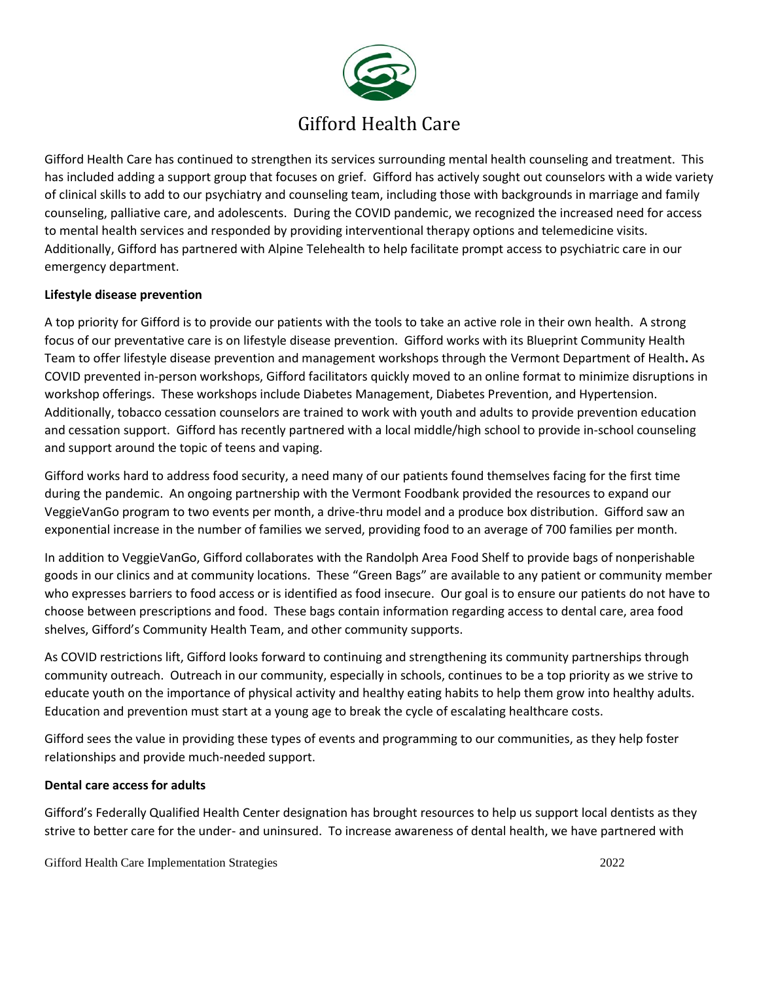

Gifford Health Care has continued to strengthen its services surrounding mental health counseling and treatment. This has included adding a support group that focuses on grief. Gifford has actively sought out counselors with a wide variety of clinical skills to add to our psychiatry and counseling team, including those with backgrounds in marriage and family counseling, palliative care, and adolescents. During the COVID pandemic, we recognized the increased need for access to mental health services and responded by providing interventional therapy options and telemedicine visits. Additionally, Gifford has partnered with Alpine Telehealth to help facilitate prompt access to psychiatric care in our emergency department.

### **Lifestyle disease prevention**

A top priority for Gifford is to provide our patients with the tools to take an active role in their own health. A strong focus of our preventative care is on lifestyle disease prevention. Gifford works with its Blueprint Community Health Team to offer lifestyle disease prevention and management workshops through the Vermont Department of Health**.** As COVID prevented in-person workshops, Gifford facilitators quickly moved to an online format to minimize disruptions in workshop offerings. These workshops include Diabetes Management, Diabetes Prevention, and Hypertension. Additionally, tobacco cessation counselors are trained to work with youth and adults to provide prevention education and cessation support. Gifford has recently partnered with a local middle/high school to provide in-school counseling and support around the topic of teens and vaping.

Gifford works hard to address food security, a need many of our patients found themselves facing for the first time during the pandemic. An ongoing partnership with the Vermont Foodbank provided the resources to expand our VeggieVanGo program to two events per month, a drive-thru model and a produce box distribution. Gifford saw an exponential increase in the number of families we served, providing food to an average of 700 families per month.

In addition to VeggieVanGo, Gifford collaborates with the Randolph Area Food Shelf to provide bags of nonperishable goods in our clinics and at community locations. These "Green Bags" are available to any patient or community member who expresses barriers to food access or is identified as food insecure. Our goal is to ensure our patients do not have to choose between prescriptions and food. These bags contain information regarding access to dental care, area food shelves, Gifford's Community Health Team, and other community supports.

As COVID restrictions lift, Gifford looks forward to continuing and strengthening its community partnerships through community outreach. Outreach in our community, especially in schools, continues to be a top priority as we strive to educate youth on the importance of physical activity and healthy eating habits to help them grow into healthy adults. Education and prevention must start at a young age to break the cycle of escalating healthcare costs.

Gifford sees the value in providing these types of events and programming to our communities, as they help foster relationships and provide much-needed support.

### **Dental care access for adults**

Gifford's Federally Qualified Health Center designation has brought resources to help us support local dentists as they strive to better care for the under- and uninsured. To increase awareness of dental health, we have partnered with

Gifford Health Care Implementation Strategies 2022